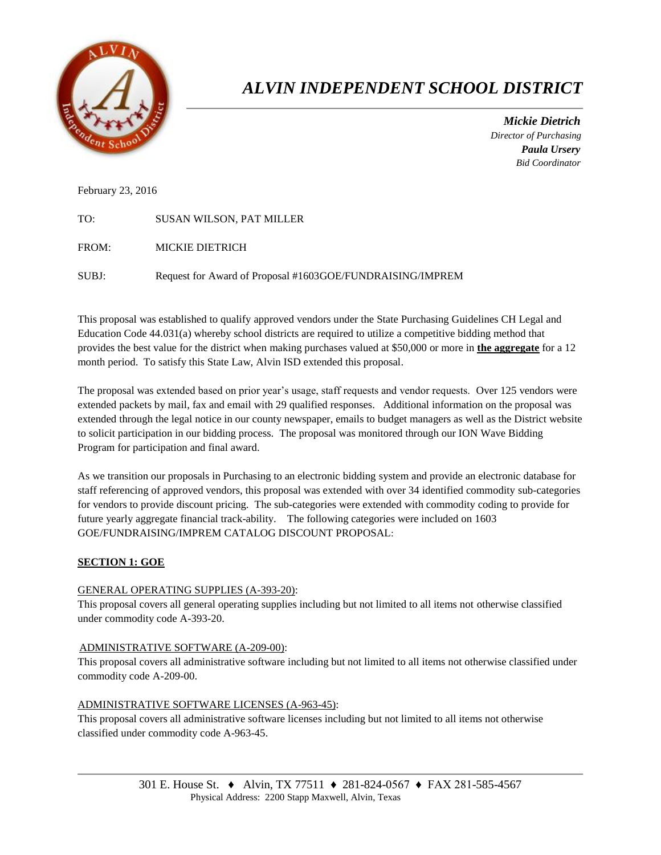

# *ALVIN INDEPENDENT SCHOOL DISTRICT*

 *Mickie Dietrich Director of Purchasing Paula Ursery Bid Coordinator*

February 23, 2016

| TO:   | <b>SUSAN WILSON, PAT MILLER</b>                           |
|-------|-----------------------------------------------------------|
| FROM: | MICKIE DIETRICH                                           |
| SUBJ: | Request for Award of Proposal #1603GOE/FUNDRAISING/IMPREM |

This proposal was established to qualify approved vendors under the State Purchasing Guidelines CH Legal and Education Code 44.031(a) whereby school districts are required to utilize a competitive bidding method that provides the best value for the district when making purchases valued at \$50,000 or more in **the aggregate** for a 12 month period. To satisfy this State Law, Alvin ISD extended this proposal.

The proposal was extended based on prior year's usage, staff requests and vendor requests. Over 125 vendors were extended packets by mail, fax and email with 29 qualified responses. Additional information on the proposal was extended through the legal notice in our county newspaper, emails to budget managers as well as the District website to solicit participation in our bidding process. The proposal was monitored through our ION Wave Bidding Program for participation and final award.

As we transition our proposals in Purchasing to an electronic bidding system and provide an electronic database for staff referencing of approved vendors, this proposal was extended with over 34 identified commodity sub-categories for vendors to provide discount pricing. The sub-categories were extended with commodity coding to provide for future yearly aggregate financial track-ability. The following categories were included on 1603 GOE/FUNDRAISING/IMPREM CATALOG DISCOUNT PROPOSAL:

# **SECTION 1: GOE**

# GENERAL OPERATING SUPPLIES (A-393-20):

This proposal covers all general operating supplies including but not limited to all items not otherwise classified under commodity code A-393-20.

# ADMINISTRATIVE SOFTWARE (A-209-00):

This proposal covers all administrative software including but not limited to all items not otherwise classified under commodity code A-209-00.

# ADMINISTRATIVE SOFTWARE LICENSES (A-963-45):

This proposal covers all administrative software licenses including but not limited to all items not otherwise classified under commodity code A-963-45.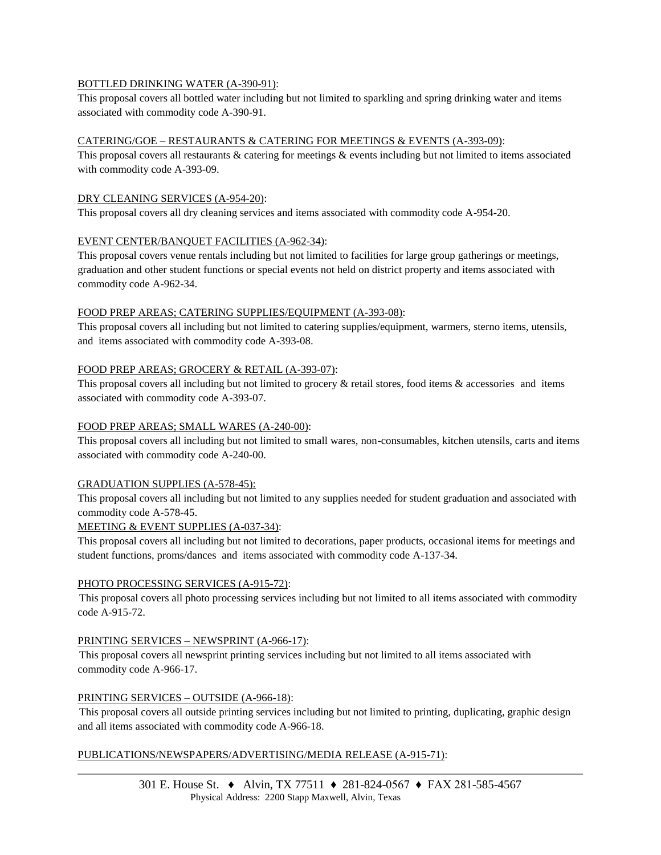# BOTTLED DRINKING WATER (A-390-91):

This proposal covers all bottled water including but not limited to sparkling and spring drinking water and items associated with commodity code A-390-91.

# CATERING/GOE – RESTAURANTS & CATERING FOR MEETINGS & EVENTS (A-393-09):

This proposal covers all restaurants & catering for meetings & events including but not limited to items associated with commodity code A-393-09.

#### DRY CLEANING SERVICES (A-954-20):

This proposal covers all dry cleaning services and items associated with commodity code A-954-20.

# EVENT CENTER/BANQUET FACILITIES (A-962-34):

This proposal covers venue rentals including but not limited to facilities for large group gatherings or meetings, graduation and other student functions or special events not held on district property and items associated with commodity code A-962-34.

# FOOD PREP AREAS; CATERING SUPPLIES/EQUIPMENT (A-393-08):

This proposal covers all including but not limited to catering supplies/equipment, warmers, sterno items, utensils, and items associated with commodity code A-393-08.

# FOOD PREP AREAS; GROCERY & RETAIL (A-393-07):

This proposal covers all including but not limited to grocery  $\&$  retail stores, food items  $\&$  accessories and items associated with commodity code A-393-07.

# FOOD PREP AREAS; SMALL WARES (A-240-00):

This proposal covers all including but not limited to small wares, non-consumables, kitchen utensils, carts and items associated with commodity code A-240-00.

# GRADUATION SUPPLIES (A-578-45):

This proposal covers all including but not limited to any supplies needed for student graduation and associated with commodity code A-578-45.

# MEETING & EVENT SUPPLIES (A-037-34):

This proposal covers all including but not limited to decorations, paper products, occasional items for meetings and student functions, proms/dances and items associated with commodity code A-137-34.

# PHOTO PROCESSING SERVICES (A-915-72):

 This proposal covers all photo processing services including but not limited to all items associated with commodity code A-915-72.

# PRINTING SERVICES – NEWSPRINT (A-966-17):

 This proposal covers all newsprint printing services including but not limited to all items associated with commodity code A-966-17.

# PRINTING SERVICES – OUTSIDE (A-966-18):

 This proposal covers all outside printing services including but not limited to printing, duplicating, graphic design and all items associated with commodity code A-966-18.

# PUBLICATIONS/NEWSPAPERS/ADVERTISING/MEDIA RELEASE (A-915-71):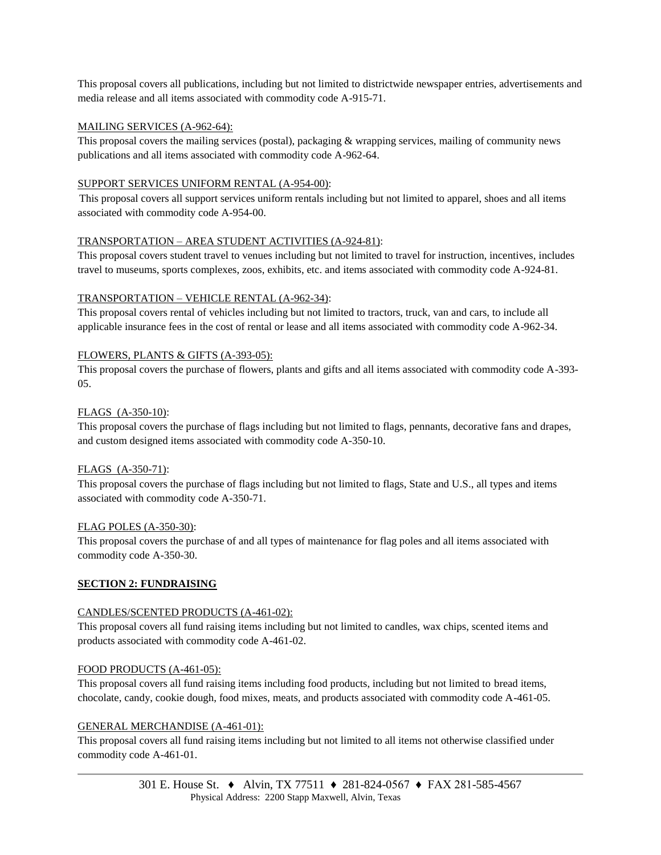This proposal covers all publications, including but not limited to districtwide newspaper entries, advertisements and media release and all items associated with commodity code A-915-71.

# MAILING SERVICES (A-962-64):

This proposal covers the mailing services (postal), packaging & wrapping services, mailing of community news publications and all items associated with commodity code A-962-64.

# SUPPORT SERVICES UNIFORM RENTAL (A-954-00):

 This proposal covers all support services uniform rentals including but not limited to apparel, shoes and all items associated with commodity code A-954-00.

# TRANSPORTATION – AREA STUDENT ACTIVITIES (A-924-81):

This proposal covers student travel to venues including but not limited to travel for instruction, incentives, includes travel to museums, sports complexes, zoos, exhibits, etc. and items associated with commodity code A-924-81.

# TRANSPORTATION – VEHICLE RENTAL (A-962-34):

This proposal covers rental of vehicles including but not limited to tractors, truck, van and cars, to include all applicable insurance fees in the cost of rental or lease and all items associated with commodity code A-962-34.

# FLOWERS, PLANTS & GIFTS (A-393-05):

This proposal covers the purchase of flowers, plants and gifts and all items associated with commodity code A-393- 05.

# FLAGS (A-350-10):

This proposal covers the purchase of flags including but not limited to flags, pennants, decorative fans and drapes, and custom designed items associated with commodity code A-350-10.

# FLAGS (A-350-71):

This proposal covers the purchase of flags including but not limited to flags, State and U.S., all types and items associated with commodity code A-350-71.

# FLAG POLES (A-350-30):

This proposal covers the purchase of and all types of maintenance for flag poles and all items associated with commodity code A-350-30.

# **SECTION 2: FUNDRAISING**

# CANDLES/SCENTED PRODUCTS (A-461-02):

This proposal covers all fund raising items including but not limited to candles, wax chips, scented items and products associated with commodity code A-461-02.

# FOOD PRODUCTS (A-461-05):

This proposal covers all fund raising items including food products, including but not limited to bread items, chocolate, candy, cookie dough, food mixes, meats, and products associated with commodity code A-461-05.

# GENERAL MERCHANDISE (A-461-01):

This proposal covers all fund raising items including but not limited to all items not otherwise classified under commodity code A-461-01.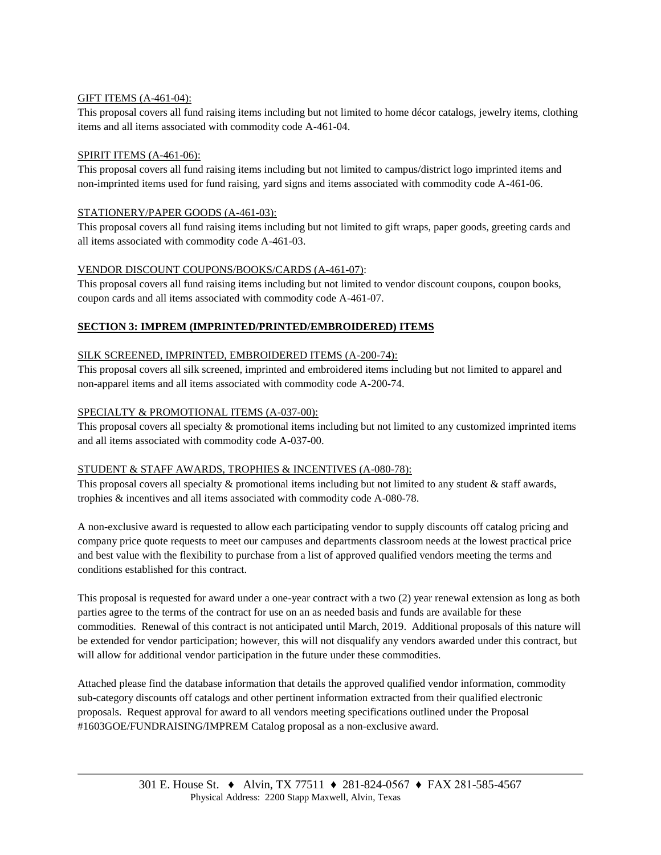# GIFT ITEMS (A-461-04):

This proposal covers all fund raising items including but not limited to home décor catalogs, jewelry items, clothing items and all items associated with commodity code A-461-04.

# SPIRIT ITEMS (A-461-06):

This proposal covers all fund raising items including but not limited to campus/district logo imprinted items and non-imprinted items used for fund raising, yard signs and items associated with commodity code A-461-06.

# STATIONERY/PAPER GOODS (A-461-03):

This proposal covers all fund raising items including but not limited to gift wraps, paper goods, greeting cards and all items associated with commodity code A-461-03.

# VENDOR DISCOUNT COUPONS/BOOKS/CARDS (A-461-07):

This proposal covers all fund raising items including but not limited to vendor discount coupons, coupon books, coupon cards and all items associated with commodity code A-461-07.

# **SECTION 3: IMPREM (IMPRINTED/PRINTED/EMBROIDERED) ITEMS**

# SILK SCREENED, IMPRINTED, EMBROIDERED ITEMS (A-200-74):

This proposal covers all silk screened, imprinted and embroidered items including but not limited to apparel and non-apparel items and all items associated with commodity code A-200-74.

# SPECIALTY & PROMOTIONAL ITEMS (A-037-00):

This proposal covers all specialty & promotional items including but not limited to any customized imprinted items and all items associated with commodity code A-037-00.

# STUDENT & STAFF AWARDS, TROPHIES & INCENTIVES (A-080-78):

This proposal covers all specialty  $\&$  promotional items including but not limited to any student  $\&$  staff awards, trophies & incentives and all items associated with commodity code A-080-78.

A non-exclusive award is requested to allow each participating vendor to supply discounts off catalog pricing and company price quote requests to meet our campuses and departments classroom needs at the lowest practical price and best value with the flexibility to purchase from a list of approved qualified vendors meeting the terms and conditions established for this contract.

This proposal is requested for award under a one-year contract with a two (2) year renewal extension as long as both parties agree to the terms of the contract for use on an as needed basis and funds are available for these commodities. Renewal of this contract is not anticipated until March, 2019. Additional proposals of this nature will be extended for vendor participation; however, this will not disqualify any vendors awarded under this contract, but will allow for additional vendor participation in the future under these commodities.

Attached please find the database information that details the approved qualified vendor information, commodity sub-category discounts off catalogs and other pertinent information extracted from their qualified electronic proposals. Request approval for award to all vendors meeting specifications outlined under the Proposal #1603GOE/FUNDRAISING/IMPREM Catalog proposal as a non-exclusive award.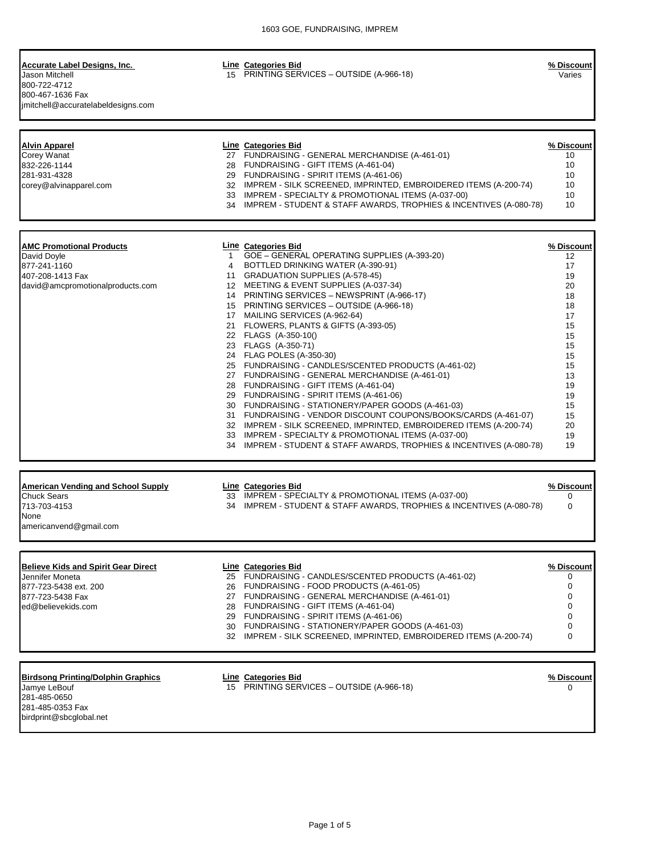| Accurate Label Designs, Inc.<br>Jason Mitchell<br>800-722-4712<br>800-467-1636 Fax<br>jmitchell@accuratelabeldesigns.com | 15 | Line Categories Bid<br>PRINTING SERVICES - OUTSIDE (A-966-18)     | % Discount<br>Varies |
|--------------------------------------------------------------------------------------------------------------------------|----|-------------------------------------------------------------------|----------------------|
| <b>Alvin Apparel</b>                                                                                                     |    | Line Categories Bid                                               | % Discount           |
| Corey Wanat                                                                                                              | 27 | FUNDRAISING - GENERAL MERCHANDISE (A-461-01)                      | 10                   |
| 832-226-1144                                                                                                             | 28 | FUNDRAISING - GIFT ITEMS (A-461-04)                               | 10                   |
| 281-931-4328                                                                                                             | 29 | FUNDRAISING - SPIRIT ITEMS (A-461-06)                             | 10                   |
| corey@alvinapparel.com                                                                                                   | 32 | IMPREM - SILK SCREENED, IMPRINTED, EMBROIDERED ITEMS (A-200-74)   | 10                   |
|                                                                                                                          | 33 | IMPREM - SPECIALTY & PROMOTIONAL ITEMS (A-037-00)                 | 10                   |
|                                                                                                                          | 34 | IMPREM - STUDENT & STAFF AWARDS, TROPHIES & INCENTIVES (A-080-78) | 10 <sup>1</sup>      |
| <b>AMC Promotional Products</b>                                                                                          |    | Line Categories Bid                                               | % Discount           |
| David Dovle                                                                                                              |    | GOE - GENERAL OPERATING SUPPLIES (A-393-20)                       | 12                   |
| 877-241-1160                                                                                                             | 4  | BOTTLED DRINKING WATER (A-390-91)                                 | 17                   |
| 407-208-1413 Fax                                                                                                         | 11 | <b>GRADUATION SUPPLIES (A-578-45)</b>                             | 19                   |
| david@amcpromotionalproducts.com                                                                                         | 12 | MEETING & EVENT SUPPLIES (A-037-34)                               | 20                   |
|                                                                                                                          | 14 | PRINTING SERVICES - NEWSPRINT (A-966-17)                          | 18                   |
|                                                                                                                          | 15 | PRINTING SERVICES - OUTSIDE (A-966-18)                            | 18                   |
|                                                                                                                          | 17 | MAILING SERVICES (A-962-64)                                       | 17                   |

|    | 21 FLOWERS, PLANTS & GIFTS (A-393-05)                                | 15 |
|----|----------------------------------------------------------------------|----|
|    | 22 FLAGS (A-350-10()                                                 | 15 |
|    | 23 FLAGS (A-350-71)                                                  | 15 |
|    | 24 FLAG POLES (A-350-30)                                             | 15 |
|    | 25 FUNDRAISING - CANDLES/SCENTED PRODUCTS (A-461-02)                 | 15 |
|    | 27 FUNDRAISING - GENERAL MERCHANDISE (A-461-01)                      | 13 |
|    | 28 FUNDRAISING - GIFT ITEMS (A-461-04)                               | 19 |
|    | 29 FUNDRAISING - SPIRIT ITEMS (A-461-06)                             | 19 |
|    | 30 FUNDRAISING - STATIONERY/PAPER GOODS (A-461-03)                   | 15 |
| 31 | FUNDRAISING - VENDOR DISCOUNT COUPONS/BOOKS/CARDS (A-461-07)         | 15 |
|    | 32 IMPREM - SILK SCREENED, IMPRINTED, EMBROIDERED ITEMS (A-200-74)   | 20 |
|    | 33 IMPREM - SPECIALTY & PROMOTIONAL ITEMS (A-037-00)                 | 19 |
|    | 34 IMPREM - STUDENT & STAFF AWARDS, TROPHIES & INCENTIVES (A-080-78) | 19 |
|    |                                                                      |    |

| <b>American Vending and School Supply</b><br><b>Chuck Sears</b><br>713-703-4153<br>None<br>americanvend@gmail.com | 33 | Line Categories Bid<br>IMPREM - SPECIALTY & PROMOTIONAL ITEMS (A-037-00)<br>34 IMPREM - STUDENT & STAFF AWARDS, TROPHIES & INCENTIVES (A-080-78) | % Discount I |
|-------------------------------------------------------------------------------------------------------------------|----|--------------------------------------------------------------------------------------------------------------------------------------------------|--------------|
|                                                                                                                   |    |                                                                                                                                                  |              |

| <b>Believe Kids and Spirit Gear Direct</b> | Line Categories Bid                                                | % Discount |
|--------------------------------------------|--------------------------------------------------------------------|------------|
| Jennifer Moneta                            | 25 FUNDRAISING - CANDLES/SCENTED PRODUCTS (A-461-02)               |            |
| 877-723-5438 ext. 200                      | 26 FUNDRAISING - FOOD PRODUCTS (A-461-05)                          |            |
| 877-723-5438 Fax                           | 27 FUNDRAISING - GENERAL MERCHANDISE (A-461-01)                    |            |
| ed@believekids.com                         | 28 FUNDRAISING - GIFT ITEMS (A-461-04)                             |            |
|                                            | 29 FUNDRAISING - SPIRIT ITEMS (A-461-06)                           |            |
|                                            | 30 FUNDRAISING - STATIONERY/PAPER GOODS (A-461-03)                 |            |
|                                            | 32 IMPREM - SILK SCREENED, IMPRINTED, EMBROIDERED ITEMS (A-200-74) | 0          |
|                                            |                                                                    |            |

# **Birdsong Printing/Dolphin Graphics Line Categories Bid % Discount**

Jamye LeBouf 15 PRINTING SERVICES – OUTSIDE (A-966-18) 0 Jamye LeBouf<br>281-485-0650 281-485-0353 Fax [birdprint@sbcglobal.net](mailto:birdprint@sbcglobal.net)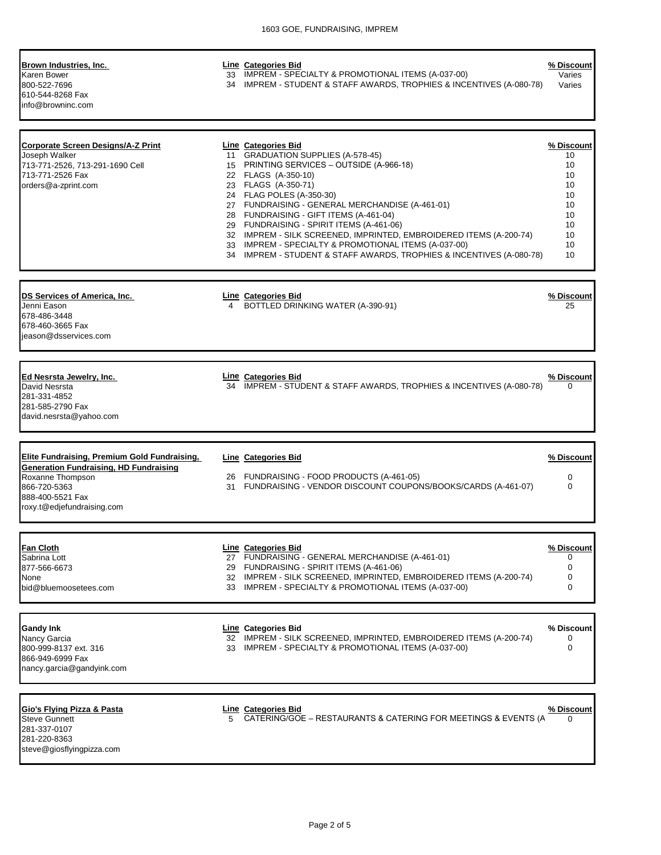#### **Brown Industries, Inc. Line Categories Bid % Discount**

800-522-7696 34 IMPREM - STUDENT & STAFF AWARDS, TROPHIES & INCENTIVES (A-080-78) Varies 610-544-8268 Fax [info@browninc.com](mailto:info@browninc.com)

Karen Bower 33 IMPREM - SPECIALTY & PROMOTIONAL ITEMS (A-037-00) Varies

| <b>Corporate Screen Designs/A-Z Print</b><br>Joseph Walker<br>713-771-2526, 713-291-1690 Cell<br>713-771-2526 Fax<br>orders@a-zprint.com                                                   |   | Line Categories Bid<br>11 GRADUATION SUPPLIES (A-578-45)<br>15 PRINTING SERVICES - OUTSIDE (A-966-18)<br>22 FLAGS (A-350-10)<br>23 FLAGS (A-350-71)<br>24 FLAG POLES (A-350-30)<br>27 FUNDRAISING - GENERAL MERCHANDISE (A-461-01)<br>28 FUNDRAISING - GIFT ITEMS (A-461-04)<br>29 FUNDRAISING - SPIRIT ITEMS (A-461-06)<br>32 IMPREM - SILK SCREENED, IMPRINTED, EMBROIDERED ITEMS (A-200-74)<br>33 IMPREM - SPECIALTY & PROMOTIONAL ITEMS (A-037-00)<br>34 IMPREM - STUDENT & STAFF AWARDS, TROPHIES & INCENTIVES (A-080-78) | % Discount<br>10<br>10<br>10<br>10<br>10<br>10<br>10<br>10<br>10<br>10<br>10 |
|--------------------------------------------------------------------------------------------------------------------------------------------------------------------------------------------|---|--------------------------------------------------------------------------------------------------------------------------------------------------------------------------------------------------------------------------------------------------------------------------------------------------------------------------------------------------------------------------------------------------------------------------------------------------------------------------------------------------------------------------------|------------------------------------------------------------------------------|
| DS Services of America, Inc.<br>Jenni Eason<br>678-486-3448<br>678-460-3665 Fax<br>ieason@dsservices.com                                                                                   | 4 | <b>Line Categories Bid</b><br>BOTTLED DRINKING WATER (A-390-91)                                                                                                                                                                                                                                                                                                                                                                                                                                                                | % Discount<br>25                                                             |
| Ed Nesrsta Jewelry, Inc.<br>David Nesrsta<br>281-331-4852<br>281-585-2790 Fax<br>david.nesrsta@yahoo.com                                                                                   |   | Line Categories Bid<br>34 IMPREM - STUDENT & STAFF AWARDS, TROPHIES & INCENTIVES (A-080-78)                                                                                                                                                                                                                                                                                                                                                                                                                                    | % Discount<br>0                                                              |
| <b>Elite Fundraising, Premium Gold Fundraising,</b><br><b>Generation Fundraising, HD Fundraising</b><br>Roxanne Thompson<br>866-720-5363<br>888-400-5521 Fax<br>roxy.t@edjefundraising.com |   | <b>Line Categories Bid</b><br>26 FUNDRAISING - FOOD PRODUCTS (A-461-05)<br>31 FUNDRAISING - VENDOR DISCOUNT COUPONS/BOOKS/CARDS (A-461-07)                                                                                                                                                                                                                                                                                                                                                                                     | % Discount<br>$\mathbf 0$<br>$\Omega$                                        |
| <b>Fan Cloth</b><br>Sabrina Lott<br>877-566-6673<br>None<br>bid@bluemoosetees.com                                                                                                          |   | Line Categories Bid<br>27 FUNDRAISING - GENERAL MERCHANDISE (A-461-01)<br>29 FUNDRAISING - SPIRIT ITEMS (A-461-06)<br>32 IMPREM - SILK SCREENED, IMPRINTED, EMBROIDERED ITEMS (A-200-74)<br>33 IMPREM - SPECIALTY & PROMOTIONAL ITEMS (A-037-00)                                                                                                                                                                                                                                                                               | % Discount<br>0<br>0<br>0<br>0                                               |
| Gandy Ink<br>Nancy Garcia                                                                                                                                                                  |   | Line Categories Bid<br>32 IMPREM - SILK SCREENED, IMPRINTED, EMBROIDERED ITEMS (A-200-74)<br>33 IMPREM - SPECIALTY & PROMOTIONAL ITEMS (A-037-00)                                                                                                                                                                                                                                                                                                                                                                              | % Discount<br>0<br>0                                                         |
| 800-999-8137 ext. 316<br>866-949-6999 Fax<br>nancy.garcia@gandyink.com                                                                                                                     |   |                                                                                                                                                                                                                                                                                                                                                                                                                                                                                                                                |                                                                              |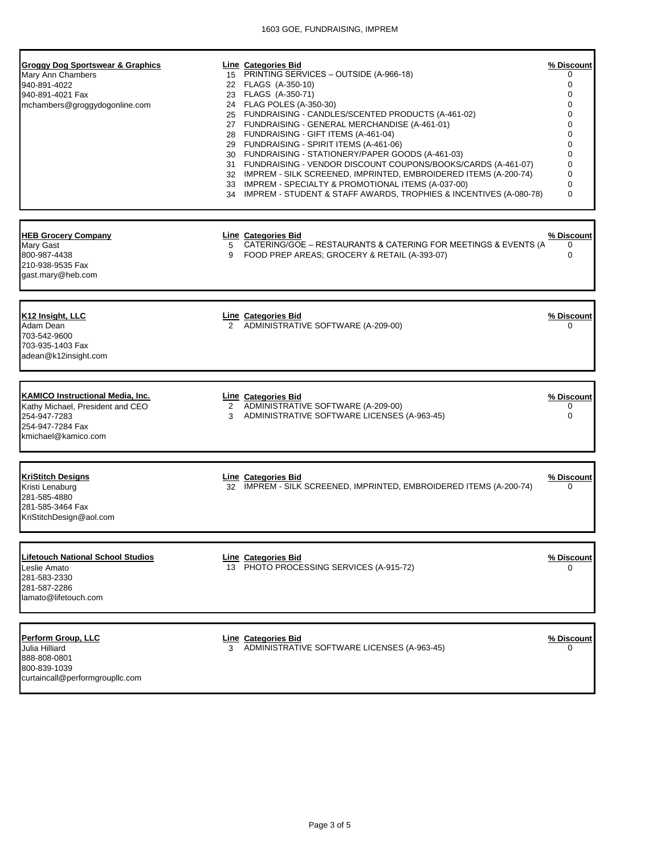| Groggy Dog Sportswear & Graphics<br>Mary Ann Chambers<br>940-891-4022<br>940-891-4021 Fax<br>mchambers@groggydogonline.com             |   | <b>Line Categories Bid</b><br>15 PRINTING SERVICES - OUTSIDE (A-966-18)<br>22 FLAGS (A-350-10)<br>23 FLAGS (A-350-71)<br>24 FLAG POLES (A-350-30)<br>25 FUNDRAISING - CANDLES/SCENTED PRODUCTS (A-461-02)<br>27 FUNDRAISING - GENERAL MERCHANDISE (A-461-01)<br>28 FUNDRAISING - GIFT ITEMS (A-461-04)<br>29 FUNDRAISING - SPIRIT ITEMS (A-461-06)<br>30 FUNDRAISING - STATIONERY/PAPER GOODS (A-461-03)<br>31 FUNDRAISING - VENDOR DISCOUNT COUPONS/BOOKS/CARDS (A-461-07)<br>32 IMPREM - SILK SCREENED, IMPRINTED, EMBROIDERED ITEMS (A-200-74)<br>33 IMPREM - SPECIALTY & PROMOTIONAL ITEMS (A-037-00)<br>34 IMPREM - STUDENT & STAFF AWARDS, TROPHIES & INCENTIVES (A-080-78) | % Discount<br>0<br>0<br>0<br>0<br>0<br>0<br>0<br>0<br>0<br>0<br>0<br>0<br>$\Omega$ |
|----------------------------------------------------------------------------------------------------------------------------------------|---|-----------------------------------------------------------------------------------------------------------------------------------------------------------------------------------------------------------------------------------------------------------------------------------------------------------------------------------------------------------------------------------------------------------------------------------------------------------------------------------------------------------------------------------------------------------------------------------------------------------------------------------------------------------------------------------|------------------------------------------------------------------------------------|
| <b>HEB Grocery Company</b><br>Mary Gast<br>800-987-4438<br>210-938-9535 Fax<br>gast.mary@heb.com                                       | 9 | Line Categories Bid<br>5 CATERING/GOE - RESTAURANTS & CATERING FOR MEETINGS & EVENTS (A<br>FOOD PREP AREAS; GROCERY & RETAIL (A-393-07)                                                                                                                                                                                                                                                                                                                                                                                                                                                                                                                                           | % Discount<br>0<br>$\Omega$                                                        |
| K <sub>12</sub> Insight, LLC<br>Adam Dean<br>703-542-9600<br>703-935-1403 Fax<br>adean@k12insight.com                                  |   | <b>Line Categories Bid</b><br>2 ADMINISTRATIVE SOFTWARE (A-209-00)                                                                                                                                                                                                                                                                                                                                                                                                                                                                                                                                                                                                                | % Discount<br>0                                                                    |
| <b>KAMICO Instructional Media, Inc.</b><br>Kathy Michael, President and CEO<br>254-947-7283<br>254-947-7284 Fax<br>kmichael@kamico.com | 3 | <b>Line Categories Bid</b><br>2 ADMINISTRATIVE SOFTWARE (A-209-00)<br>ADMINISTRATIVE SOFTWARE LICENSES (A-963-45)                                                                                                                                                                                                                                                                                                                                                                                                                                                                                                                                                                 | % Discount<br>0<br>$\Omega$                                                        |
| <b>KriStitch Designs</b><br>Kristi Lenaburg<br>281-585-4880<br>281-585-3464 Fax<br>KriStitchDesign@aol.com                             |   | <b>Line Categories Bid</b><br>32 IMPREM - SILK SCREENED, IMPRINTED, EMBROIDERED ITEMS (A-200-74)                                                                                                                                                                                                                                                                                                                                                                                                                                                                                                                                                                                  | % Discount<br>0                                                                    |
| <b>Lifetouch National School Studios</b><br>Leslie Amato<br>281-583-2330<br>281-587-2286<br>lamato@lifetouch.com                       |   | <b>Line Categories Bid</b><br>13 PHOTO PROCESSING SERVICES (A-915-72)                                                                                                                                                                                                                                                                                                                                                                                                                                                                                                                                                                                                             | % Discount<br>U                                                                    |
| Perform Group, LLC<br>Julia Hilliard<br>888-808-0801<br>800-839-1039<br>curtaincall@performgroupllc.com                                |   | Line Categories Bid<br>3 ADMINISTRATIVE SOFTWARE LICENSES (A-963-45)                                                                                                                                                                                                                                                                                                                                                                                                                                                                                                                                                                                                              | % Discount<br>O                                                                    |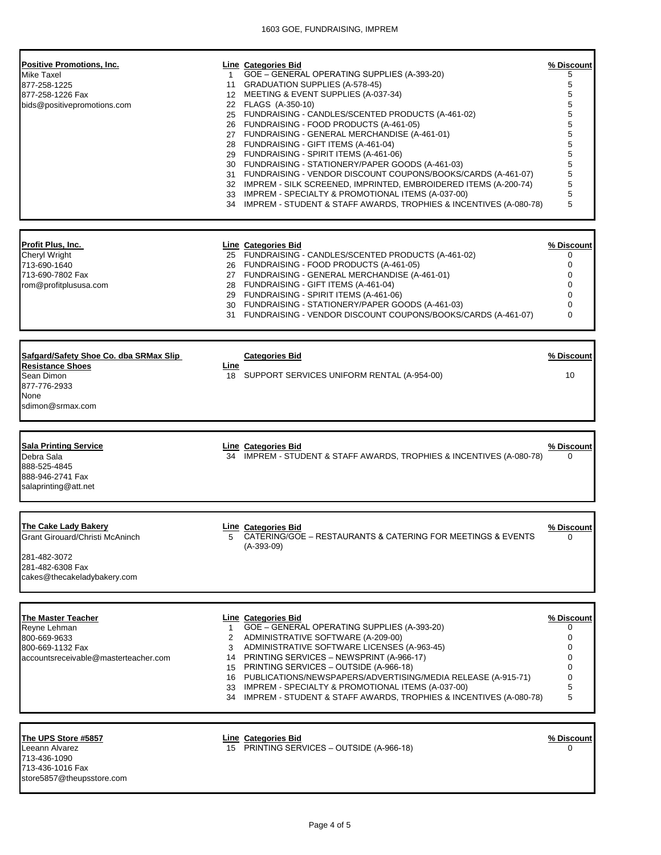| <b>Positive Promotions, Inc.</b><br>Mike Taxel<br>877-258-1225<br>877-258-1226 Fax<br>bids@positivepromotions.com                 | $1 \quad$               | <b>Line</b> Categories Bid<br>GOE - GENERAL OPERATING SUPPLIES (A-393-20)<br>11 GRADUATION SUPPLIES (A-578-45)<br>12 MEETING & EVENT SUPPLIES (A-037-34)<br>22 FLAGS (A-350-10)<br>25 FUNDRAISING - CANDLES/SCENTED PRODUCTS (A-461-02)<br>26 FUNDRAISING - FOOD PRODUCTS (A-461-05)<br>27 FUNDRAISING - GENERAL MERCHANDISE (A-461-01)<br>28 FUNDRAISING - GIFT ITEMS (A-461-04)<br>29 FUNDRAISING - SPIRIT ITEMS (A-461-06)<br>30 FUNDRAISING - STATIONERY/PAPER GOODS (A-461-03)<br>31 FUNDRAISING - VENDOR DISCOUNT COUPONS/BOOKS/CARDS (A-461-07)<br>32 IMPREM - SILK SCREENED, IMPRINTED, EMBROIDERED ITEMS (A-200-74)<br>33 IMPREM - SPECIALTY & PROMOTIONAL ITEMS (A-037-00)<br>34 IMPREM - STUDENT & STAFF AWARDS, TROPHIES & INCENTIVES (A-080-78) | % Discount<br>5<br>5<br>5<br>5<br>5<br>5<br>5<br>5<br>5<br>5<br>5<br>5<br>5<br>5 |
|-----------------------------------------------------------------------------------------------------------------------------------|-------------------------|--------------------------------------------------------------------------------------------------------------------------------------------------------------------------------------------------------------------------------------------------------------------------------------------------------------------------------------------------------------------------------------------------------------------------------------------------------------------------------------------------------------------------------------------------------------------------------------------------------------------------------------------------------------------------------------------------------------------------------------------------------------|----------------------------------------------------------------------------------|
| <u> Profit Plus, Inc. </u><br>Cheryl Wright<br>713-690-1640<br>713-690-7802 Fax<br>rom@profitplususa.com                          |                         | <b>Line</b> Categories Bid<br>25 FUNDRAISING - CANDLES/SCENTED PRODUCTS (A-461-02)<br>26 FUNDRAISING - FOOD PRODUCTS (A-461-05)<br>27 FUNDRAISING - GENERAL MERCHANDISE (A-461-01)<br>28 FUNDRAISING - GIFT ITEMS (A-461-04)<br>29 FUNDRAISING - SPIRIT ITEMS (A-461-06)<br>30 FUNDRAISING - STATIONERY/PAPER GOODS (A-461-03)<br>31 FUNDRAISING - VENDOR DISCOUNT COUPONS/BOOKS/CARDS (A-461-07)                                                                                                                                                                                                                                                                                                                                                            | % Discount<br>0<br>$\mathbf 0$<br>0<br>0<br>0<br>0<br>0                          |
| Safgard/Safety Shoe Co. dba SRMax Slip<br><b>Resistance Shoes</b><br>Sean Dimon<br>877-776-2933<br>None<br>sdimon@srmax.com       | Line                    | <b>Categories Bid</b><br>18 SUPPORT SERVICES UNIFORM RENTAL (A-954-00)                                                                                                                                                                                                                                                                                                                                                                                                                                                                                                                                                                                                                                                                                       | <u>% Discount</u><br>10                                                          |
| <b>Sala Printing Service</b><br>Debra Sala<br>888-525-4845<br>888-946-2741 Fax<br>salaprinting@att.net                            |                         | <b>Line Categories Bid</b><br>34 IMPREM - STUDENT & STAFF AWARDS, TROPHIES & INCENTIVES (A-080-78)                                                                                                                                                                                                                                                                                                                                                                                                                                                                                                                                                                                                                                                           | % Discount<br>0                                                                  |
| <b>The Cake Lady Bakery</b><br>Grant Girouard/Christi McAninch<br>281-482-3072<br>281-482-6308 Fax<br>cakes@thecakeladybakery.com | 5                       | <b>Line Categories Bid</b><br>CATERING/GOE - RESTAURANTS & CATERING FOR MEETINGS & EVENTS<br>$(A-393-09)$                                                                                                                                                                                                                                                                                                                                                                                                                                                                                                                                                                                                                                                    | <u>% Discount</u><br>0                                                           |
| The Master Teacher<br>Reyne Lehman<br>800-669-9633<br>800-669-1132 Fax<br>accountsreceivable@masterteacher.com                    | 1.<br>$\mathbf{2}$<br>3 | <b>Line Categories Bid</b><br>GOE - GENERAL OPERATING SUPPLIES (A-393-20)<br>ADMINISTRATIVE SOFTWARE (A-209-00)<br>ADMINISTRATIVE SOFTWARE LICENSES (A-963-45)<br>14 PRINTING SERVICES - NEWSPRINT (A-966-17)<br>15 PRINTING SERVICES - OUTSIDE (A-966-18)<br>16 PUBLICATIONS/NEWSPAPERS/ADVERTISING/MEDIA RELEASE (A-915-71)<br>33 IMPREM - SPECIALTY & PROMOTIONAL ITEMS (A-037-00)<br>34 IMPREM - STUDENT & STAFF AWARDS, TROPHIES & INCENTIVES (A-080-78)                                                                                                                                                                                                                                                                                                | % Discount<br>0<br>0<br>0<br>0<br>0<br>0<br>5<br>5                               |
| The UPS Store #5857<br>Leeann Alvarez<br>713-436-1090<br>713-436-1016 Fax                                                         |                         | <b>Line Categories Bid</b><br>15 PRINTING SERVICES - OUTSIDE (A-966-18)                                                                                                                                                                                                                                                                                                                                                                                                                                                                                                                                                                                                                                                                                      | % Discount<br>0                                                                  |

[store5857@theupsstore.com](mailto:store5857@theupsstore.com)